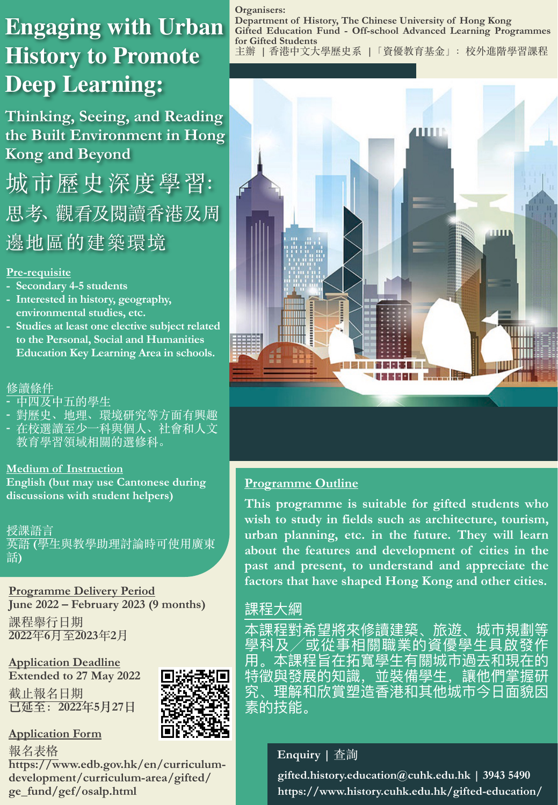# **Engaging with Urban History to Promote Deep Learning**

**Thinking, Seeing, and Reading the Built Environment in Hong Kong and Beyond**

城市歷史深度學習: 思考、觀看及閱讀香港及周 邊地區的建築環境

#### **Pre-requisite**

- **- Secondary 4-5 students**
- **- Interested in history, geography, environmental studies, etc.**
- **- Studies at least one elective subject related to the Personal, Social and Humanities Education Key Learning Area in schools.**

#### 修讀條件

- **-** 中四及中五的學⽣
- **-** 對歷史、地理、環境研究等⽅⾯有興趣
- **-** 在校選讀⾄少⼀科與個⼈、社會和⼈⽂ 教育學習領域相關的選修科。

#### **Medium of Instruction**

**English (but may use Cantonese during discussions with student helpers)**

授課語言 英語 **(**學⽣與教學助理討論時可使⽤廣東 話**)**

**Programme Delivery Period June 2022 – February 2023 (9 months)**

課程舉行日期 **2022**年**6**⽉⾄**2023**年**2**⽉

**Application Deadline Extended to 27 May 2022**

截止報名日期 **已延⾄:2022年5⽉27⽇**



**Application Form** 

報名表格

**https://www.edb.gov.hk/en/curriculumdevelopment/curriculum-area/gifted/ ge\_fund/gef/osalp.html**

**Organisers: Department of History, The Chinese University of Hong Kong Gifted Education Fund - Off-school Advanced Learning Programmes for Gifted Students** 主辦 | 香港中文大學歷史系 | 「資優教育基金」: 校外進階學習課程



#### **Programme Outline**

**This programme is suitable for gifted students who wish to study in fields such as architecture, tourism, urban planning, etc. in the future. They will learn about the features and development of cities in the past and present, to understand and appreciate the factors that have shaped Hong Kong and other cities.** 

#### 課程⼤綱

本課程對希望將來修讀建築、旅遊、城市規劃等 學科及/或從事相關職業的資優學生具啟發作 用。本課程旨在拓寬學生有關城市過去和現在的 特徵與發展的知識,並裝備學⽣,讓他們掌握研 究、理解和欣賞塑造香港和其他城市今日面貌因 素的技能。

#### **Enquiry |** 查詢

**gifted.history.education@cuhk.edu.hk | 3943 5490 https://www.history.cuhk.edu.hk/gifted-education/**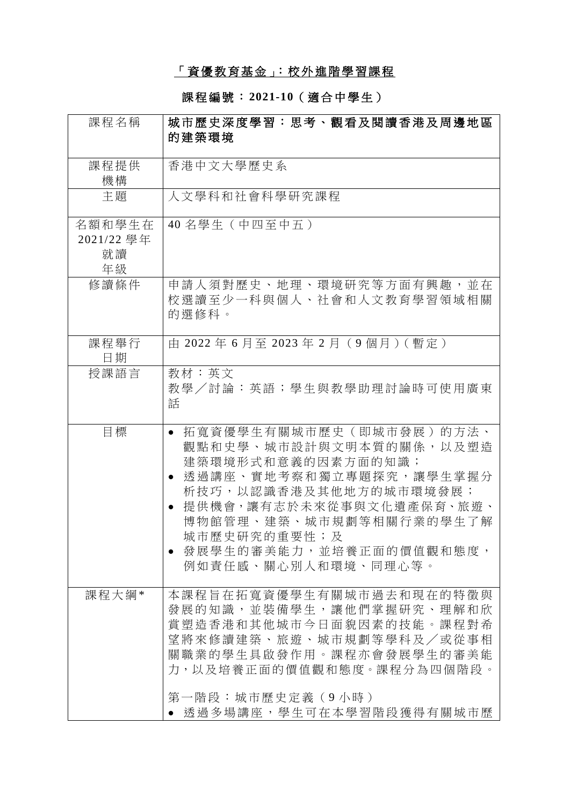# 「資優教育基金」:校外進階學習課程

### 課程編號 : **2021-10**( 適 合 中 學 生)

| 課程名稱                             | 城市歷史深度學習:思考、觀看及閱讀香港及周邊地區<br>的建築環境                                                                                                                                                                                                                                     |
|----------------------------------|-----------------------------------------------------------------------------------------------------------------------------------------------------------------------------------------------------------------------------------------------------------------------|
| 課程提供<br>機構                       | 香港中文大學歷史系                                                                                                                                                                                                                                                             |
| 主題                               | 人文學科和社會科學研究課程                                                                                                                                                                                                                                                         |
| 名額和學生在<br>2021/22 學年<br>就讀<br>年級 | 40名學生 (中四至中五)                                                                                                                                                                                                                                                         |
| 修讀條件                             | 申請人須對歷史、地理、環境研究等方面有興趣,並在<br>校選讀至少一科與個人、社會和人文教育學習領域相關<br>的選修科。                                                                                                                                                                                                         |
| 課程舉行<br>日期                       | 中 2022年6月至 2023年2月 (9個月) (暫定)                                                                                                                                                                                                                                         |
| 授課語言                             | 教材:英文<br>教學/討論:英語;學生與教學助理討論時可使用廣東<br>話                                                                                                                                                                                                                                |
| 目標                               | 拓寬資優學生有關城市歷史(即城市發展)的方法、<br>$\bullet$<br>觀點和史學、城市設計與文明本質的關係,以及塑造<br>建築環境形式和意義的因素方面的知識;<br>透過講座、實地考察和獨立專題探究,讓學生掌握分<br>析技巧,以認識香港及其他地方的城市環境發展;<br>提供機會,讓有志於未來從事與文化遺產保育、旅遊、<br>博物館管理、建築、城市規劃等相關行業的學生了解<br>城市歷史研究的重要性;及<br>● 發展學生的審美能力,並培養正面的價值觀和態度,<br>例如責任感、關心別人和環境、同理心等。 |
| 課程大綱*                            | 本課程旨在拓寬資優學生有關城市過去和現在的特徵與<br>發展的知識,並裝備學生,讓他們掌握研究、理解和欣<br>賞塑造香港和其他城市今日面貌因素的技能。課程對希<br>望將來修讀建築、旅遊、城市規劃等學科及/或從事相<br>關職業的學生具啟發作用。課程亦會發展學生的審美能<br>力,以及培養正面的價值觀和熊度。課程分為四個階段。<br>第一階段:城市歷史定義(9 小時)<br>● 透過多場講座,學生可在本學習階段獲得有關城市歷                                               |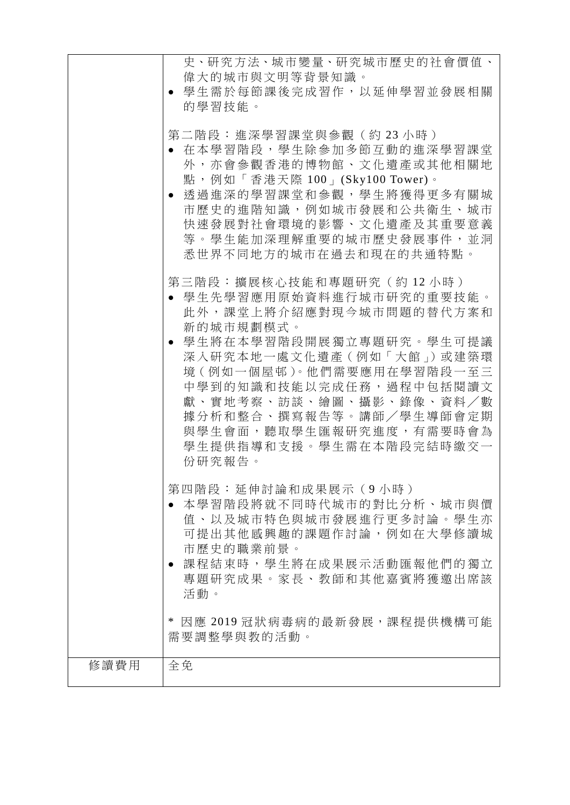|      | 史、研究方法、城市變量、研究城市歷史的社會價值、                                                                                                                                                                                                                             |
|------|------------------------------------------------------------------------------------------------------------------------------------------------------------------------------------------------------------------------------------------------------|
|      | 偉大的城市與文明等背景知識。<br>學生需於每節課後完成習作,以延伸學習並發展相關<br>的學習技能。                                                                                                                                                                                                  |
|      | 第二階段:進深學習課堂與參觀(約23小時)<br>• 在本學習階段,學生除參加多節互動的進深學習課堂<br>外,亦會參觀香港的博物館、文化遺產或其他相關地<br>點,例如「香港天際 100」(Sky100 Tower)。<br>透過進深的學習課堂和參觀,學生將獲得更多有關城<br>市歷史的進階知識,例如城市發展和公共衛生、城市<br>快速發展對社會環境的影響、文化遺產及其重要意義<br>等。學生能加深理解重要的城市歷史發展事件,並洞<br>悉世界不同地方的城市在過去和現在的共通特點。 |
|      | 第三階段:擴展核心技能和專題研究(約12小時)<br>● 學生先學習應用原始資料進行城市研究的重要技能。<br>此外,課堂上將介紹應對現今城市問題的替代方案和<br>新的城市規劃模式。                                                                                                                                                         |
|      | ● 學生將在本學習階段開展獨立專題研究。學生可提議<br>深入研究本地一處文化遺產(例如「大館」)或建築環<br>境(例如一個屋邨)。他們需要應用在學習階段一至三<br>中學到的知識和技能以完成任務,過程中包括閱讀文<br>獻、實地考察、訪談、繪圖、攝影、錄像、資料/數<br>據分析和整合、撰寫報告等。講師/學生導師會定期<br>與學生會面,聽取學生匯報研究進度,有需要時會為<br>學生提供指導和支援。學生需在本階段完結時繳交一<br>份研究報告。                   |
|      | 第四階段:延伸討論和成果展示(9小時)<br>本學習階段將就不同時代城市的對比分析、城市與價<br>值、以及城市特色與城市發展進行更多討論。學生亦<br>可提出其他感興趣的課題作討論,例如在大學修讀城<br>市歷史的職業前景。<br>課程結束時,學生將在成果展示活動匯報他們的獨立<br>專題研究成果。家長、教師和其他嘉賓將獲邀出席該<br>活動。                                                                       |
| 修讀費用 | * 因應 2019 冠狀病毒病的最新發展,課程提供機構可能<br>需要調整學與教的活動。<br>全免                                                                                                                                                                                                   |
|      |                                                                                                                                                                                                                                                      |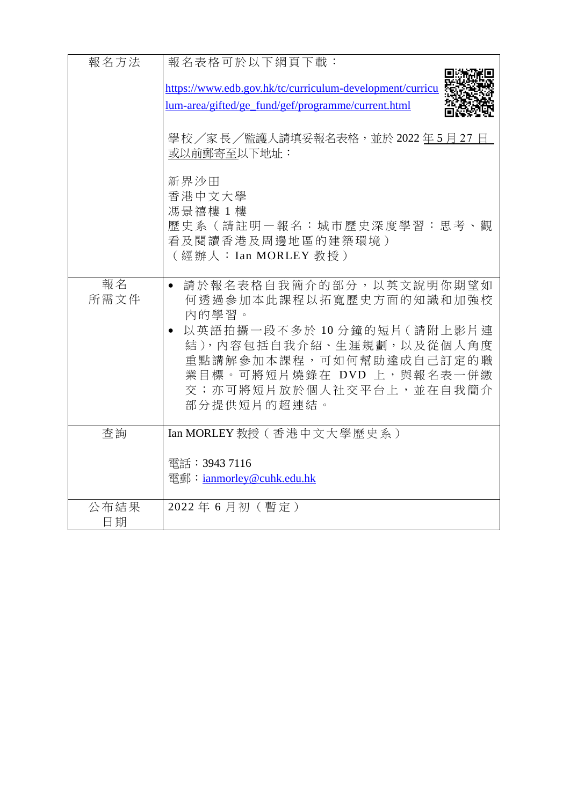| 報名方法       | 報名表格可於以下網頁下載:                                                                                                                                            |
|------------|----------------------------------------------------------------------------------------------------------------------------------------------------------|
|            | https://www.edb.gov.hk/tc/curriculum-development/curricu                                                                                                 |
|            | <u>lum-area/gifted/ge_fund/gef/programme/current.html</u>                                                                                                |
|            | 學校/家長/監護人請填妥報名表格,並於 2022年5月27日<br>或以前郵寄至以下地址:                                                                                                            |
|            | 新界沙田<br>香港中文大學<br>馮景禧樓1樓<br>歷史系(請註明一報名:城市歷史深度學習:思考、觀<br>看及閱讀香港及周邊地區的建築環境)                                                                                |
|            | (經辦人:Ian MORLEY 教授)                                                                                                                                      |
| 報名<br>所需文件 | 請於報名表格自我簡介的部分,以英文說明你期望如<br>$\bullet$<br>何透過參加本此課程以拓寬歷史方面的知識和加強校<br>內的學習。                                                                                 |
|            | 以英語拍攝一段不多於10分鐘的短片(請附上影片連<br>結), 内容包括自我介紹、生涯規劃, 以及從個人角度<br>重點講解參加本課程,可如何幫助達成自己訂定的職<br>業目標。可將短片燒錄在 DVD 上,與報名表一併繳<br>交;亦可將短片放於個人社交平台上,並在自我簡介<br>部分提供短片的超連結。 |
| 查詢         | Ian MORLEY 教授 (香港中文大學歷史系)                                                                                                                                |
|            | 電話:3943 7116                                                                                                                                             |
|            | 電郵: ianmorley@cuhk.edu.hk                                                                                                                                |
| 公布結果       | 2022年6月初(暫定)                                                                                                                                             |
| 日期         |                                                                                                                                                          |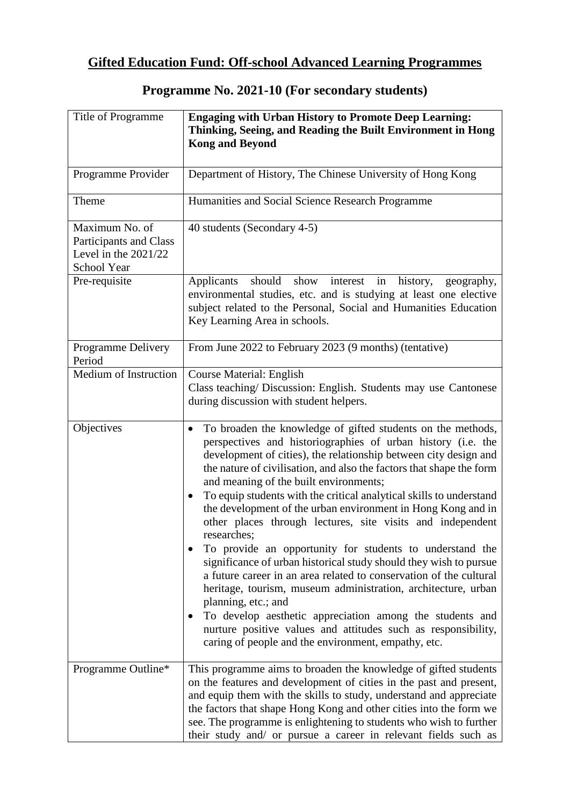## **Gifted Education Fund: Off-school Advanced Learning Programmes**

| Title of Programme                                                                | <b>Engaging with Urban History to Promote Deep Learning:</b><br>Thinking, Seeing, and Reading the Built Environment in Hong<br><b>Kong and Beyond</b>                                                                                                                                                                                                                                                                                                                                                                                                                                                                                                                                                                                                                                                                                                                                                                                                                                                                    |
|-----------------------------------------------------------------------------------|--------------------------------------------------------------------------------------------------------------------------------------------------------------------------------------------------------------------------------------------------------------------------------------------------------------------------------------------------------------------------------------------------------------------------------------------------------------------------------------------------------------------------------------------------------------------------------------------------------------------------------------------------------------------------------------------------------------------------------------------------------------------------------------------------------------------------------------------------------------------------------------------------------------------------------------------------------------------------------------------------------------------------|
| Programme Provider                                                                | Department of History, The Chinese University of Hong Kong                                                                                                                                                                                                                                                                                                                                                                                                                                                                                                                                                                                                                                                                                                                                                                                                                                                                                                                                                               |
| Theme                                                                             | Humanities and Social Science Research Programme                                                                                                                                                                                                                                                                                                                                                                                                                                                                                                                                                                                                                                                                                                                                                                                                                                                                                                                                                                         |
| Maximum No. of<br>Participants and Class<br>Level in the $2021/22$<br>School Year | 40 students (Secondary 4-5)                                                                                                                                                                                                                                                                                                                                                                                                                                                                                                                                                                                                                                                                                                                                                                                                                                                                                                                                                                                              |
| Pre-requisite                                                                     | should<br>show interest<br>in<br>Applicants<br>history,<br>geography,<br>environmental studies, etc. and is studying at least one elective<br>subject related to the Personal, Social and Humanities Education<br>Key Learning Area in schools.                                                                                                                                                                                                                                                                                                                                                                                                                                                                                                                                                                                                                                                                                                                                                                          |
| Programme Delivery<br>Period                                                      | From June 2022 to February 2023 (9 months) (tentative)                                                                                                                                                                                                                                                                                                                                                                                                                                                                                                                                                                                                                                                                                                                                                                                                                                                                                                                                                                   |
| Medium of Instruction                                                             | <b>Course Material: English</b><br>Class teaching/ Discussion: English. Students may use Cantonese<br>during discussion with student helpers.                                                                                                                                                                                                                                                                                                                                                                                                                                                                                                                                                                                                                                                                                                                                                                                                                                                                            |
| Objectives                                                                        | To broaden the knowledge of gifted students on the methods,<br>perspectives and historiographies of urban history (i.e. the<br>development of cities), the relationship between city design and<br>the nature of civilisation, and also the factors that shape the form<br>and meaning of the built environments;<br>To equip students with the critical analytical skills to understand<br>the development of the urban environment in Hong Kong and in<br>other places through lectures, site visits and independent<br>researches;<br>To provide an opportunity for students to understand the<br>significance of urban historical study should they wish to pursue<br>a future career in an area related to conservation of the cultural<br>heritage, tourism, museum administration, architecture, urban<br>planning, etc.; and<br>To develop aesthetic appreciation among the students and<br>nurture positive values and attitudes such as responsibility,<br>caring of people and the environment, empathy, etc. |
| Programme Outline*                                                                | This programme aims to broaden the knowledge of gifted students<br>on the features and development of cities in the past and present,<br>and equip them with the skills to study, understand and appreciate<br>the factors that shape Hong Kong and other cities into the form we<br>see. The programme is enlightening to students who wish to further<br>their study and/ or pursue a career in relevant fields such as                                                                                                                                                                                                                                                                                                                                                                                                                                                                                                                                                                                                |

### **Programme No. 2021-10 (For secondary students)**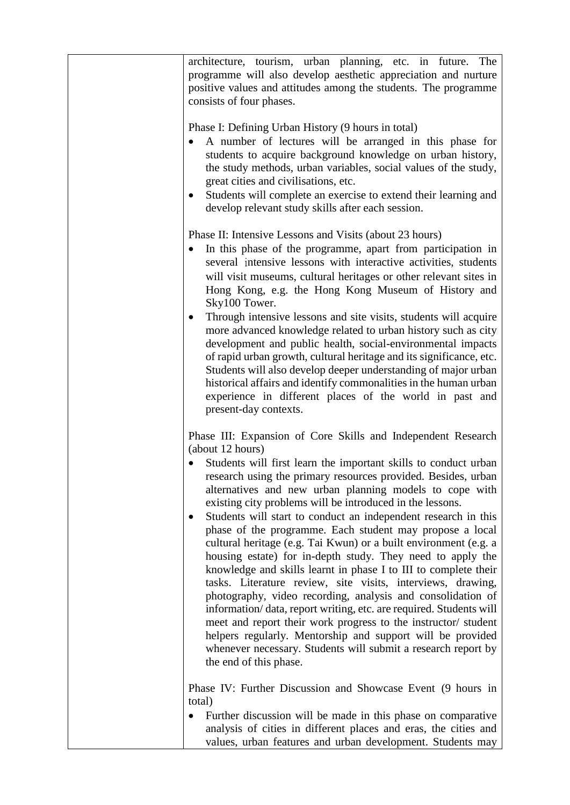| architecture, tourism, urban planning, etc. in future. The<br>programme will also develop aesthetic appreciation and nurture<br>positive values and attitudes among the students. The programme<br>consists of four phases.                                                                                                                                                                                                                                                                                                                                                                                                                                                                                                                                                                                                                                                                                                                                                                                                                                                                                   |
|---------------------------------------------------------------------------------------------------------------------------------------------------------------------------------------------------------------------------------------------------------------------------------------------------------------------------------------------------------------------------------------------------------------------------------------------------------------------------------------------------------------------------------------------------------------------------------------------------------------------------------------------------------------------------------------------------------------------------------------------------------------------------------------------------------------------------------------------------------------------------------------------------------------------------------------------------------------------------------------------------------------------------------------------------------------------------------------------------------------|
| Phase I: Defining Urban History (9 hours in total)<br>A number of lectures will be arranged in this phase for<br>$\bullet$<br>students to acquire background knowledge on urban history,<br>the study methods, urban variables, social values of the study,<br>great cities and civilisations, etc.<br>Students will complete an exercise to extend their learning and<br>develop relevant study skills after each session.                                                                                                                                                                                                                                                                                                                                                                                                                                                                                                                                                                                                                                                                                   |
| Phase II: Intensive Lessons and Visits (about 23 hours)<br>In this phase of the programme, apart from participation in<br>$\bullet$<br>several intensive lessons with interactive activities, students<br>will visit museums, cultural heritages or other relevant sites in<br>Hong Kong, e.g. the Hong Kong Museum of History and<br>Sky100 Tower.<br>Through intensive lessons and site visits, students will acquire<br>$\bullet$<br>more advanced knowledge related to urban history such as city<br>development and public health, social-environmental impacts<br>of rapid urban growth, cultural heritage and its significance, etc.<br>Students will also develop deeper understanding of major urban<br>historical affairs and identify commonalities in the human urban<br>experience in different places of the world in past and<br>present-day contexts.                                                                                                                                                                                                                                         |
| Phase III: Expansion of Core Skills and Independent Research<br>(about 12 hours)<br>Students will first learn the important skills to conduct urban<br>research using the primary resources provided. Besides, urban<br>alternatives and new urban planning models to cope with<br>existing city problems will be introduced in the lessons.<br>Students will start to conduct an independent research in this<br>phase of the programme. Each student may propose a local<br>cultural heritage (e.g. Tai Kwun) or a built environment (e.g. a<br>housing estate) for in-depth study. They need to apply the<br>knowledge and skills learnt in phase I to III to complete their<br>tasks. Literature review, site visits, interviews, drawing,<br>photography, video recording, analysis and consolidation of<br>information/data, report writing, etc. are required. Students will<br>meet and report their work progress to the instructor/student<br>helpers regularly. Mentorship and support will be provided<br>whenever necessary. Students will submit a research report by<br>the end of this phase. |
| Phase IV: Further Discussion and Showcase Event (9 hours in<br>total)<br>Further discussion will be made in this phase on comparative<br>analysis of cities in different places and eras, the cities and<br>values, urban features and urban development. Students may                                                                                                                                                                                                                                                                                                                                                                                                                                                                                                                                                                                                                                                                                                                                                                                                                                        |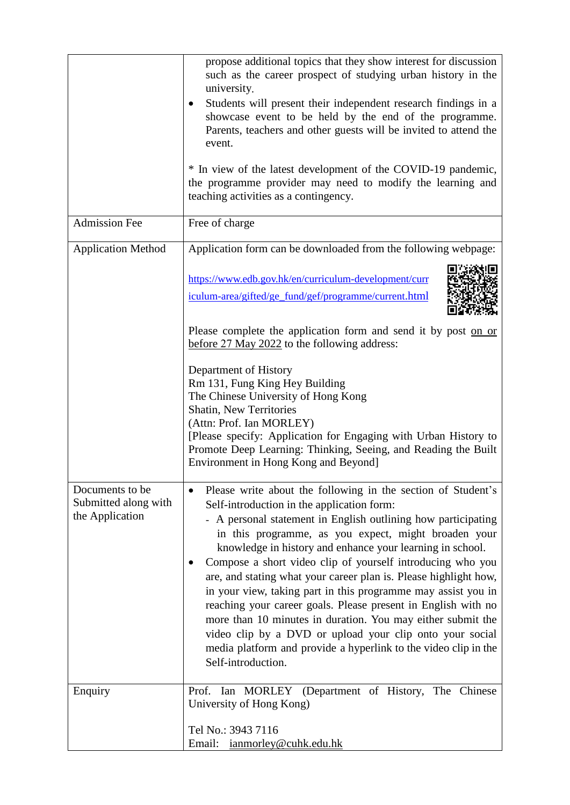|                                                            | propose additional topics that they show interest for discussion<br>such as the career prospect of studying urban history in the<br>university.<br>Students will present their independent research findings in a<br>showcase event to be held by the end of the programme.<br>Parents, teachers and other guests will be invited to attend the<br>event.<br>* In view of the latest development of the COVID-19 pandemic,<br>the programme provider may need to modify the learning and<br>teaching activities as a contingency.                                                                                                                                                                                                                                                        |
|------------------------------------------------------------|------------------------------------------------------------------------------------------------------------------------------------------------------------------------------------------------------------------------------------------------------------------------------------------------------------------------------------------------------------------------------------------------------------------------------------------------------------------------------------------------------------------------------------------------------------------------------------------------------------------------------------------------------------------------------------------------------------------------------------------------------------------------------------------|
| <b>Admission Fee</b>                                       | Free of charge                                                                                                                                                                                                                                                                                                                                                                                                                                                                                                                                                                                                                                                                                                                                                                           |
| <b>Application Method</b>                                  | Application form can be downloaded from the following webpage:                                                                                                                                                                                                                                                                                                                                                                                                                                                                                                                                                                                                                                                                                                                           |
|                                                            | https://www.edb.gov.hk/en/curriculum-development/curr<br>iculum-area/gifted/ge fund/gef/programme/current.html                                                                                                                                                                                                                                                                                                                                                                                                                                                                                                                                                                                                                                                                           |
|                                                            | Please complete the application form and send it by post on or<br>before 27 May 2022 to the following address:                                                                                                                                                                                                                                                                                                                                                                                                                                                                                                                                                                                                                                                                           |
|                                                            | Department of History<br>Rm 131, Fung King Hey Building<br>The Chinese University of Hong Kong<br>Shatin, New Territories<br>(Attn: Prof. Ian MORLEY)<br>[Please specify: Application for Engaging with Urban History to<br>Promote Deep Learning: Thinking, Seeing, and Reading the Built<br>Environment in Hong Kong and Beyond]                                                                                                                                                                                                                                                                                                                                                                                                                                                       |
| Documents to be<br>Submitted along with<br>the Application | Please write about the following in the section of Student's<br>Self-introduction in the application form:<br>- A personal statement in English outlining how participating<br>in this programme, as you expect, might broaden your<br>knowledge in history and enhance your learning in school.<br>Compose a short video clip of yourself introducing who you<br>are, and stating what your career plan is. Please highlight how,<br>in your view, taking part in this programme may assist you in<br>reaching your career goals. Please present in English with no<br>more than 10 minutes in duration. You may either submit the<br>video clip by a DVD or upload your clip onto your social<br>media platform and provide a hyperlink to the video clip in the<br>Self-introduction. |
| Enquiry                                                    | Prof. Ian MORLEY (Department of History, The Chinese<br>University of Hong Kong)                                                                                                                                                                                                                                                                                                                                                                                                                                                                                                                                                                                                                                                                                                         |
|                                                            | Tel No.: 3943 7116<br>Email: <i>ianmorley@cuhk.edu.hk</i>                                                                                                                                                                                                                                                                                                                                                                                                                                                                                                                                                                                                                                                                                                                                |